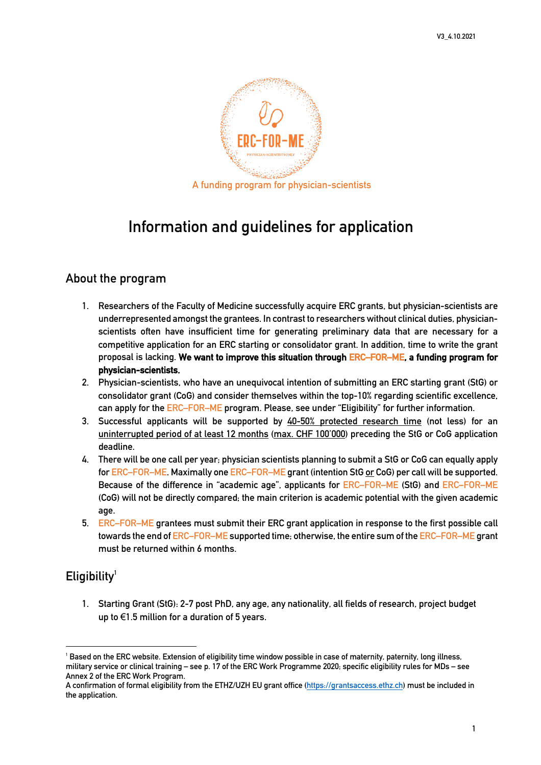

# **Information and guidelines for application**

#### **About the program**

- **1. Researchers of the Faculty of Medicine successfully acquire ERC grants, but physician-scientists are underrepresented amongst the grantees. In contrast to researchers without clinical duties, physicianscientists often have insufficient time for generating preliminary data that are necessary for a competitive application for an ERC starting or consolidator grant. In addition, time to write the grant proposal is lacking. We want to improve this situation through ERC–FOR–ME, a funding program for physician-scientists.**
- **2. Physician-scientists, who have an unequivocal intention of submitting an ERC starting grant (StG) or consolidator grant (CoG) and consider themselves within the top-10% regarding scientific excellence, can apply for the ERC–FOR–ME program. Please, see under "Eligibility" for further information.**
- **3. Successful applicants will be supported by 40-50% protected research time (not less) for an uninterrupted period of at least 12 months (max. CHF 100'000) preceding the StG or CoG application deadline.**
- **4. There will be one call per year; physician scientists planning to submit a StG or CoG can equally apply for ERC–FOR–ME. Maximally one ERC–FOR–ME grant (intention StG or CoG) per call will be supported. Because of the difference in "academic age", applicants for ERC–FOR–ME (StG) and ERC–FOR–ME (CoG) will not be directly compared; the main criterion is academic potential with the given academic age.**
- **5. ERC–FOR–ME grantees must submit their ERC grant application in response to the first possible call towards the end of ERC–FOR–ME supported time; otherwise, the entire sum of the ERC–FOR–ME grant must be returned within 6 months.**

### **Eligibility1**

**1. Starting Grant (StG): 2-7 post PhD, any age, any nationality, all fields of research, project budget up to** €**1.5 million for a duration of 5 years.**

**<sup>1</sup> Based on the ERC website. Extension of eligibility time window possible in case of maternity, paternity, long illness, military service or clinical training – see p. 17 of the ERC Work Programme 2020; specific eligibility rules for MDs – see Annex 2 of the ERC Work Program.**

**A confirmation of formal eligibility from the ETHZ/UZH EU grant office (https://grantsaccess.ethz.ch) must be included in the application.**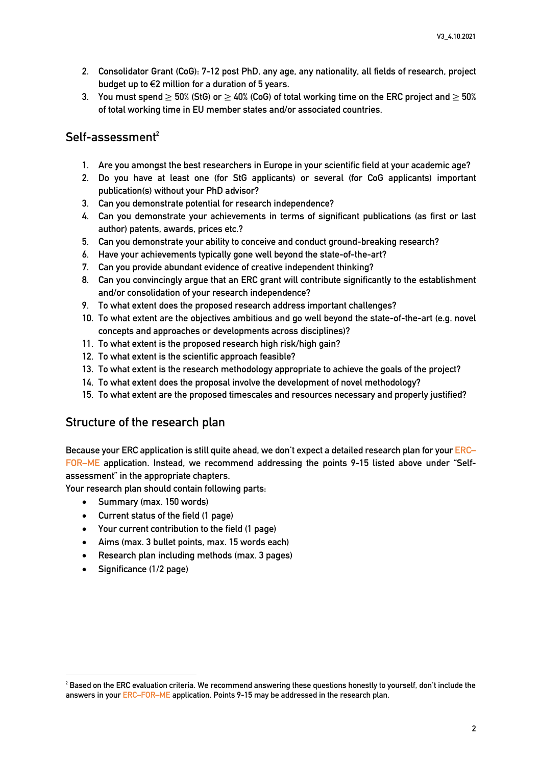- **2. Consolidator Grant (CoG): 7-12 post PhD, any age, any nationality, all fields of research, project budget up to** €**2 million for a duration of 5 years.**
- **3. You must spend** ≥ **50% (StG) or** ≥ **40% (CoG) of total working time on the ERC project and** ≥ **50% of total working time in EU member states and/or associated countries.**

### Self-assessment<sup>2</sup>

- **1. Are you amongst the best researchers in Europe in your scientific field at your academic age?**
- **2. Do you have at least one (for StG applicants) or several (for CoG applicants) important publication(s) without your PhD advisor?**
- **3. Can you demonstrate potential for research independence?**
- **4. Can you demonstrate your achievements in terms of significant publications (as first or last author) patents, awards, prices etc.?**
- **5. Can you demonstrate your ability to conceive and conduct ground-breaking research?**
- **6. Have your achievements typically gone well beyond the state-of-the-art?**
- **7. Can you provide abundant evidence of creative independent thinking?**
- **8. Can you convincingly argue that an ERC grant will contribute significantly to the establishment and/or consolidation of your research independence?**
- **9. To what extent does the proposed research address important challenges?**
- **10. To what extent are the objectives ambitious and go well beyond the state-of-the-art (e.g. novel concepts and approaches or developments across disciplines)?**
- **11. To what extent is the proposed research high risk/high gain?**
- **12. To what extent is the scientific approach feasible?**
- **13. To what extent is the research methodology appropriate to achieve the goals of the project?**
- **14. To what extent does the proposal involve the development of novel methodology?**
- **15. To what extent are the proposed timescales and resources necessary and properly justified?**

### **Structure of the research plan**

**Because your ERC application is still quite ahead, we don't expect a detailed research plan for your ERC– FOR–ME application. Instead, we recommend addressing the points 9-15 listed above under "Selfassessment" in the appropriate chapters.**

**Your research plan should contain following parts:**

- **Summary (max. 150 words)**
- **Current status of the field (1 page)**
- **Your current contribution to the field (1 page)**
- **Aims (max. 3 bullet points, max. 15 words each)**
- **Research plan including methods (max. 3 pages)**
- **Significance (1/2 page)**

**<sup>2</sup> Based on the ERC evaluation criteria. We recommend answering these questions honestly to yourself, don't include the answers in your ERC–FOR–ME application. Points 9-15 may be addressed in the research plan.**